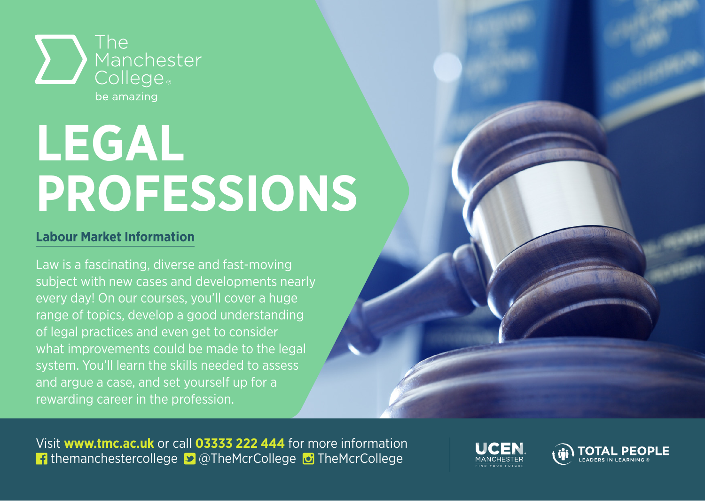

## **LEGAL PROFESSIONS**

## **Labour Market Information**

Law is a fascinating, diverse and fast-moving subject with new cases and developments nearly every day! On our courses, you'll cover a huge range of topics, develop a good understanding of legal practices and even get to consider what improvements could be made to the legal system. You'll learn the skills needed to assess and argue a case, and set yourself up for a rewarding career in the profession.

Visit **www.tmc.ac.uk** or call **03333 222 444** for more information **f** themanchestercollege **D** @TheMcrCollege **D** TheMcrCollege